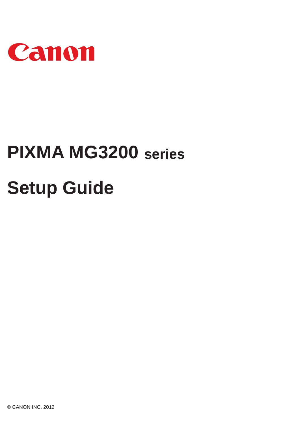

# **PIXMA MG3200 seriesSetup Guide**

© CANON INC. 2012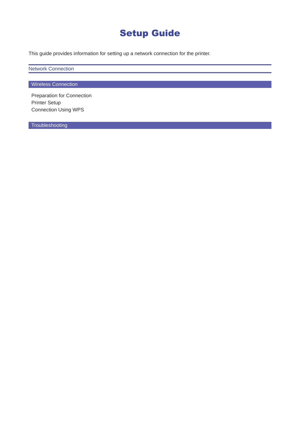## Setup Guide

This guide provides information for setting up a network connection for the printer.

Network Connection

**Wireless Connection** 

Preparation for Connection Printer Setup Connection Using WPS

**Troubleshooting**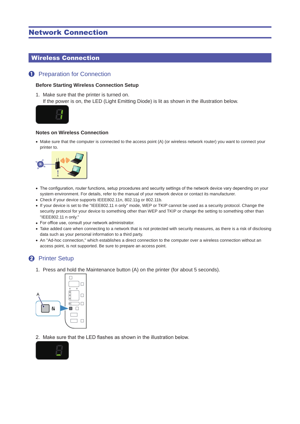## Network Connection

## Wireless Connection

## **1** Preparation for Connection

### **Before Starting Wireless Connection Setup**

1. Make sure that the printer is turned on. If the power is on, the LED (Light Emitting Diode) is lit as shown in the illustration below.



#### **Notes on Wireless Connection**

• Make sure that the computer is connected to the access point (A) (or wireless network router) you want to connect your printer to.



- The configuration, router functions, setup procedures and security settings of the network device vary depending on your system environment. For details, refer to the manual of your network device or contact its manufacturer.
- Check if your device supports IEEE802.11n, 802.11g or 802.11b.
- If your device is set to the "IEEE802.11 n only" mode, WEP or TKIP cannot be used as a security protocol. Change the security protocol for your device to something other than WEP and TKIP or change the setting to something other than "IEEE802.11 n only."
- For office use, consult your network administrator.
- Take added care when connecting to a network that is not protected with security measures, as there is a risk of disclosing data such as your personal information to a third party.
- An "Ad-hoc connection," which establishes a direct connection to the computer over a wireless connection without an access point, is not supported. Be sure to prepare an access point.

## **2** Printer Setup

1. Press and hold the Maintenance button (A) on the printer (for about 5 seconds).



2. Make sure that the LED flashes as shown in the illustration below.

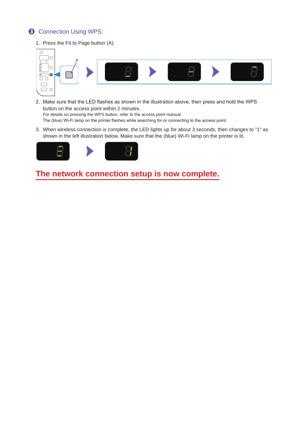## **8** Connection Using WPS

1. Press the Fit to Page button (A).



- 2. Make sure that the LED flashes as shown in the illustration above, then press and hold the WPS button on the access point within 2 minutes. For details on pressing the WPS button, refer to the access point manual. The (blue) Wi-Fi lamp on the printer flashes while searching for or connecting to the access point.
- 3. When wireless connection is complete, the LED lights up for about 3 seconds, then changes to "1" as shown in the left illustration below. Make sure that the (blue) Wi-Fi lamp on the printer is lit.



**The network connection setup is now complete.**